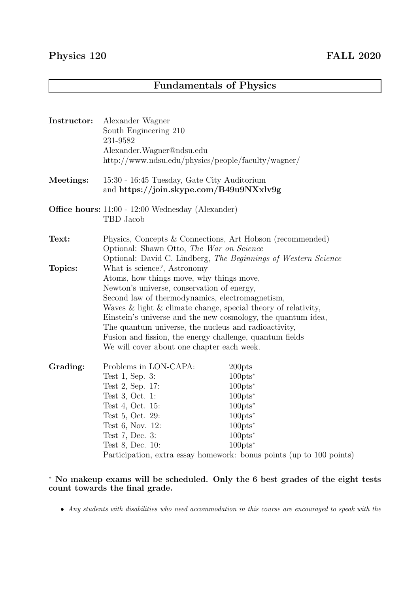## Fundamentals of Physics

| Instructor: | Alexander Wagner<br>South Engineering 210<br>231-9582<br>Alexander. Wagner@ndsu.edu<br>http://www.ndsu.edu/physics/people/faculty/wagner/                                                                                                                                                                                                                                                                                                                                         |                                                                                                                                                                                                                                                                |
|-------------|-----------------------------------------------------------------------------------------------------------------------------------------------------------------------------------------------------------------------------------------------------------------------------------------------------------------------------------------------------------------------------------------------------------------------------------------------------------------------------------|----------------------------------------------------------------------------------------------------------------------------------------------------------------------------------------------------------------------------------------------------------------|
| Meetings:   | 15:30 - 16:45 Tuesday, Gate City Auditorium<br>and https://join.skype.com/B49u9NXxlv9g                                                                                                                                                                                                                                                                                                                                                                                            |                                                                                                                                                                                                                                                                |
|             | <b>Office hours:</b> 11:00 - 12:00 Wednesday (Alexander)<br>TBD Jacob                                                                                                                                                                                                                                                                                                                                                                                                             |                                                                                                                                                                                                                                                                |
| Text:       | Physics, Concepts & Connections, Art Hobson (recommended)<br>Optional: Shawn Otto, The War on Science<br>Optional: David C. Lindberg, The Beginnings of Western Science                                                                                                                                                                                                                                                                                                           |                                                                                                                                                                                                                                                                |
| Topics:     | What is science?, Astronomy<br>Atoms, how things move, why things move,<br>Newton's universe, conservation of energy,<br>Second law of thermodynamics, electromagnetism,<br>Waves $\&$ light $\&$ climate change, special theory of relativity,<br>Einstein's universe and the new cosmology, the quantum idea,<br>The quantum universe, the nucleus and radioactivity,<br>Fusion and fission, the energy challenge, quantum fields<br>We will cover about one chapter each week. |                                                                                                                                                                                                                                                                |
| Grading:    | Problems in LON-CAPA:<br>Test 1, Sep. 3:<br>Test 2, Sep. 17:<br>Test 3, Oct. 1:<br>Test 4, Oct. 15:<br>Test 5, Oct. 29:<br>Test 6, Nov. 12:<br>Test 7, Dec. 3:<br>Test 8, Dec. 10:                                                                                                                                                                                                                                                                                                | 200pts<br>$100 \text{pts}^*$<br>$100 \text{pts}^*$<br>$100 \text{pts}^*$<br>$100 \text{pts}^*$<br>$100 \text{pts}^*$<br>$100 \text{pts}^*$<br>$100 \text{pts}^*$<br>$100 \text{pts}^*$<br>Participation, extra essay homework: bonus points (up to 100 points) |

<sup>∗</sup> No makeup exams will be scheduled. Only the 6 best grades of the eight tests count towards the final grade.

• *Any students with disabilities who need accommodation in this course are encouraged to speak with the*